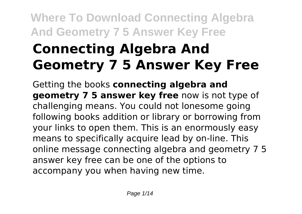# **Connecting Algebra And Geometry 7 5 Answer Key Free**

Getting the books **connecting algebra and geometry 7 5 answer key free** now is not type of challenging means. You could not lonesome going following books addition or library or borrowing from your links to open them. This is an enormously easy means to specifically acquire lead by on-line. This online message connecting algebra and geometry 7 5 answer key free can be one of the options to accompany you when having new time.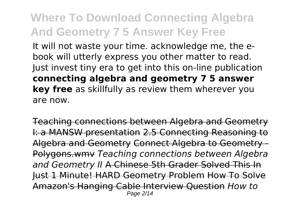It will not waste your time. acknowledge me, the ebook will utterly express you other matter to read. Just invest tiny era to get into this on-line publication **connecting algebra and geometry 7 5 answer key free** as skillfully as review them wherever you are now.

Teaching connections between Algebra and Geometry I: a MANSW presentation 2.5 Connecting Reasoning to Algebra and Geometry Connect Algebra to Geometry - Polygons.wmv *Teaching connections between Algebra and Geometry II* A Chinese 5th Grader Solved This In Just 1 Minute! HARD Geometry Problem How To Solve Amazon's Hanging Cable Interview Question *How to* Page 2/14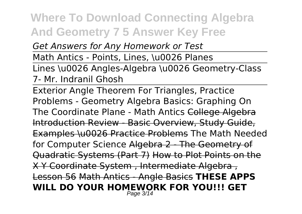*Get Answers for Any Homework or Test*

Math Antics - Points, Lines, \u0026 Planes

Lines \u0026 Angles-Algebra \u0026 Geometry-Class 7- Mr. Indranil Ghosh

Exterior Angle Theorem For Triangles, Practice Problems - Geometry Algebra Basics: Graphing On The Coordinate Plane - Math Antics College Algebra Introduction Review - Basic Overview, Study Guide, Examples \u0026 Practice Problems The Math Needed for Computer Science Algebra 2 - The Geometry of Quadratic Systems (Part 7) How to Plot Points on the X Y Coordinate System , Intermediate Algebra , Lesson 56 Math Antics - Angle Basics **THESE APPS WILL DO YOUR HOMEWORK FOR YOU!!! GET** Page 3/14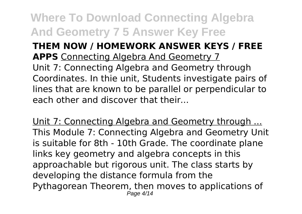#### **THEM NOW / HOMEWORK ANSWER KEYS / FREE APPS** Connecting Algebra And Geometry 7

Unit 7: Connecting Algebra and Geometry through Coordinates. In thie unit, Students investigate pairs of lines that are known to be parallel or perpendicular to each other and discover that their...

Unit 7: Connecting Algebra and Geometry through ... This Module 7: Connecting Algebra and Geometry Unit is suitable for 8th - 10th Grade. The coordinate plane links key geometry and algebra concepts in this approachable but rigorous unit. The class starts by developing the distance formula from the Pythagorean Theorem, then moves to applications of Page 4/14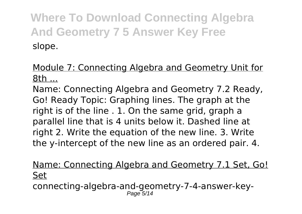Module 7: Connecting Algebra and Geometry Unit for 8th ...

Name: Connecting Algebra and Geometry 7.2 Ready, Go! Ready Topic: Graphing lines. The graph at the right is of the line . 1. On the same grid, graph a parallel line that is 4 units below it. Dashed line at right 2. Write the equation of the new line. 3. Write the y-intercept of the new line as an ordered pair. 4.

Name: Connecting Algebra and Geometry 7.1 Set, Go! Set

connecting-algebra-and-geometry-7-4-answer-key-Page 5/14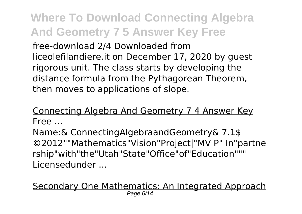free-download 2/4 Downloaded from liceolefilandiere.it on December 17, 2020 by guest rigorous unit. The class starts by developing the distance formula from the Pythagorean Theorem, then moves to applications of slope.

#### Connecting Algebra And Geometry 7 4 Answer Key Free ...

Name:& ConnectingAlgebraandGeometry& 7.1\$ ©2012""Mathematics"Vision"Project|"MV P" In"partne rship"with"the"Utah"State"Office"of"Education""" Licensedunder ...

Secondary One Mathematics: An Integrated Approach Page 6/14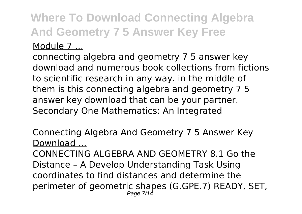#### Module 7 ...

connecting algebra and geometry 7 5 answer key download and numerous book collections from fictions to scientific research in any way. in the middle of them is this connecting algebra and geometry 7 5 answer key download that can be your partner. Secondary One Mathematics: An Integrated

#### Connecting Algebra And Geometry 7 5 Answer Key Download ...

CONNECTING ALGEBRA AND GEOMETRY 8.1 Go the Distance – A Develop Understanding Task Using coordinates to find distances and determine the perimeter of geometric shapes (G.GPE.7) READY, SET, Page 7/14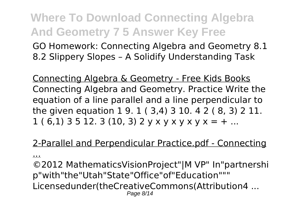GO Homework: Connecting Algebra and Geometry 8.1 8.2 Slippery Slopes – A Solidify Understanding Task

Connecting Algebra & Geometry - Free Kids Books Connecting Algebra and Geometry. Practice Write the equation of a line parallel and a line perpendicular to the given equation 1 9. 1 ( 3,4) 3 10. 4 2 ( 8, 3) 2 11.  $1 ( 6,1) 3 5 12. 3 (10,3) 2 y x y x y x y x = + ...$ 

#### 2-Parallel and Perpendicular Practice.pdf - Connecting

...

©2012 MathematicsVisionProject"|M VP" In"partnershi p"with"the"Utah"State"Office"of"Education""" Licensedunder(theCreativeCommons(Attribution4 ... Page 8/14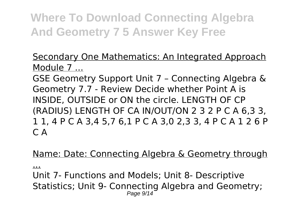#### Secondary One Mathematics: An Integrated Approach Module 7 ...

GSE Geometry Support Unit 7 – Connecting Algebra & Geometry 7.7 - Review Decide whether Point A is INSIDE, OUTSIDE or ON the circle. LENGTH OF CP (RADIUS) LENGTH OF CA IN/OUT/ON 2 3 2 P C A 6,3 3, 1 1, 4 P C A 3,4 5,7 6,1 P C A 3,0 2,3 3, 4 P C A 1 2 6 P C A

#### Name: Date: Connecting Algebra & Geometry through

...

Unit 7- Functions and Models; Unit 8- Descriptive Statistics; Unit 9- Connecting Algebra and Geometry; Page  $9/14$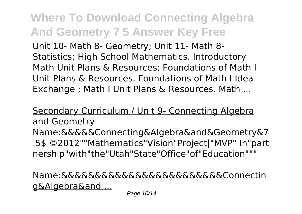Unit 10- Math 8- Geometry; Unit 11- Math 8- Statistics; High School Mathematics. Introductory Math Unit Plans & Resources; Foundations of Math I Unit Plans & Resources. Foundations of Math I Idea Exchange ; Math I Unit Plans & Resources. Math ...

#### Secondary Curriculum / Unit 9- Connecting Algebra and Geometry

Name:&&&&&Connecting&Algebra&and&Geometry&7 .5\$ ©2012""Mathematics"Vision"Project|"MVP" In"part nership"with"the"Utah"State"Office"of"Education"""

#### Name:&&&&&&&&&&&&&&&&&&&&&&&&Connectin g&Algebra&and ...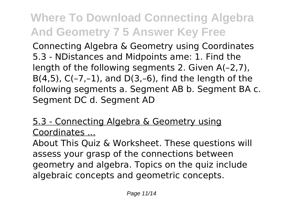Connecting Algebra & Geometry using Coordinates 5.3 - NDistances and Midpoints ame: 1. Find the length of the following segments 2. Given A(–2,7), B(4,5),  $C(-7,-1)$ , and  $D(3,-6)$ , find the length of the following segments a. Segment AB b. Segment BA c. Segment DC d. Segment AD

#### 5.3 - Connecting Algebra & Geometry using Coordinates ...

About This Quiz & Worksheet. These questions will assess your grasp of the connections between geometry and algebra. Topics on the quiz include algebraic concepts and geometric concepts.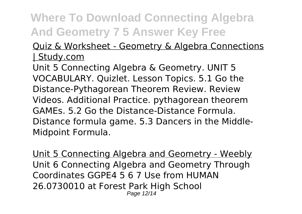#### Quiz & Worksheet - Geometry & Algebra Connections | Study.com

Unit 5 Connecting Algebra & Geometry. UNIT 5 VOCABULARY. Quizlet. Lesson Topics. 5.1 Go the Distance-Pythagorean Theorem Review. Review Videos. Additional Practice. pythagorean theorem GAMEs. 5.2 Go the Distance-Distance Formula. Distance formula game. 5.3 Dancers in the Middle-Midpoint Formula.

Unit 5 Connecting Algebra and Geometry - Weebly Unit 6 Connecting Algebra and Geometry Through Coordinates GGPE4 5 6 7 Use from HUMAN 26.0730010 at Forest Park High School Page 12/14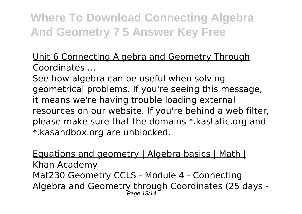Unit 6 Connecting Algebra and Geometry Through Coordinates ...

See how algebra can be useful when solving geometrical problems. If you're seeing this message, it means we're having trouble loading external resources on our website. If you're behind a web filter, please make sure that the domains \*.kastatic.org and \*.kasandbox.org are unblocked.

Equations and geometry | Algebra basics | Math | Khan Academy Mat230 Geometry CCLS - Module 4 - Connecting Algebra and Geometry through Coordinates (25 days - Page 13/14